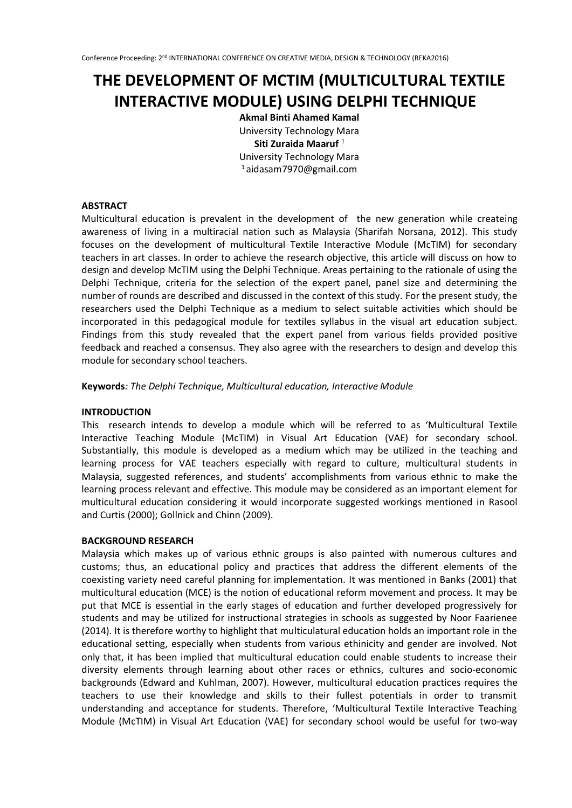# **THE DEVELOPMENT OF MCTIM (MULTICULTURAL TEXTILE INTERACTIVE MODULE) USING DELPHI TECHNIQUE**

**Akmal Binti Ahamed Kamal** University Technology Mara **Siti Zuraida Maaruf** <sup>1</sup> University Technology Mara <sup>1</sup> aidasam7970@gmail.com

# **ABSTRACT**

Multicultural education is prevalent in the development of the new generation while createing awareness of living in a multiracial nation such as Malaysia (Sharifah Norsana, 2012). This study focuses on the development of multicultural Textile Interactive Module (McTIM) for secondary teachers in art classes. In order to achieve the research objective, this article will discuss on how to design and develop McTIM using the Delphi Technique. Areas pertaining to the rationale of using the Delphi Technique, criteria for the selection of the expert panel, panel size and determining the number of rounds are described and discussed in the context of this study. For the present study, the researchers used the Delphi Technique as a medium to select suitable activities which should be incorporated in this pedagogical module for textiles syllabus in the visual art education subject. Findings from this study revealed that the expert panel from various fields provided positive feedback and reached a consensus. They also agree with the researchers to design and develop this module for secondary school teachers.

## **Keywords***: The Delphi Technique, Multicultural education, Interactive Module*

## **INTRODUCTION**

This research intends to develop a module which will be referred to as 'Multicultural Textile Interactive Teaching Module (McTIM) in Visual Art Education (VAE) for secondary school. Substantially, this module is developed as a medium which may be utilized in the teaching and learning process for VAE teachers especially with regard to culture, multicultural students in Malaysia, suggested references, and students' accomplishments from various ethnic to make the learning process relevant and effective. This module may be considered as an important element for multicultural education considering it would incorporate suggested workings mentioned in Rasool and Curtis (2000); Gollnick and Chinn (2009).

## **BACKGROUND RESEARCH**

Malaysia which makes up of various ethnic groups is also painted with numerous cultures and customs; thus, an educational policy and practices that address the different elements of the coexisting variety need careful planning for implementation. It was mentioned in Banks (2001) that multicultural education (MCE) is the notion of educational reform movement and process. It may be put that MCE is essential in the early stages of education and further developed progressively for students and may be utilized for instructional strategies in schools as suggested by Noor Faarienee (2014). It is therefore worthy to highlight that multiculatural education holds an important role in the educational setting, especially when students from various ethinicity and gender are involved. Not only that, it has been implied that multicultural education could enable students to increase their diversity elements through learning about other races or ethnics, cultures and socio-economic backgrounds (Edward and Kuhlman, 2007). However, multicultural education practices requires the teachers to use their knowledge and skills to their fullest potentials in order to transmit understanding and acceptance for students. Therefore, 'Multicultural Textile Interactive Teaching Module (McTIM) in Visual Art Education (VAE) for secondary school would be useful for two-way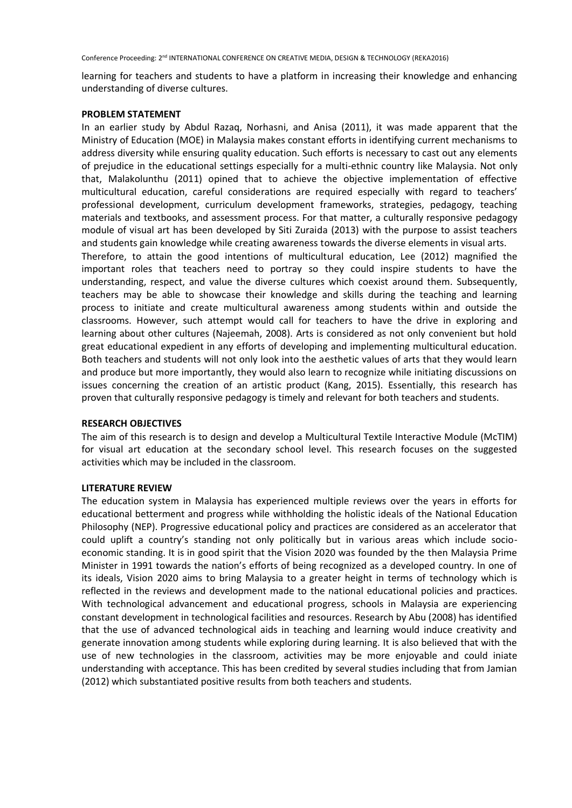Conference Proceeding: 2nd INTERNATIONAL CONFERENCE ON CREATIVE MEDIA, DESIGN & TECHNOLOGY (REKA2016)

learning for teachers and students to have a platform in increasing their knowledge and enhancing understanding of diverse cultures.

## **PROBLEM STATEMENT**

In an earlier study by Abdul Razaq, Norhasni, and Anisa (2011), it was made apparent that the Ministry of Education (MOE) in Malaysia makes constant efforts in identifying current mechanisms to address diversity while ensuring quality education. Such efforts is necessary to cast out any elements of prejudice in the educational settings especially for a multi-ethnic country like Malaysia. Not only that, Malakolunthu (2011) opined that to achieve the objective implementation of effective multicultural education, careful considerations are required especially with regard to teachers' professional development, curriculum development frameworks, strategies, pedagogy, teaching materials and textbooks, and assessment process. For that matter, a culturally responsive pedagogy module of visual art has been developed by Siti Zuraida (2013) with the purpose to assist teachers and students gain knowledge while creating awareness towards the diverse elements in visual arts.

Therefore, to attain the good intentions of multicultural education, Lee (2012) magnified the important roles that teachers need to portray so they could inspire students to have the understanding, respect, and value the diverse cultures which coexist around them. Subsequently, teachers may be able to showcase their knowledge and skills during the teaching and learning process to initiate and create multicultural awareness among students within and outside the classrooms. However, such attempt would call for teachers to have the drive in exploring and learning about other cultures (Najeemah, 2008). Arts is considered as not only convenient but hold great educational expedient in any efforts of developing and implementing multicultural education. Both teachers and students will not only look into the aesthetic values of arts that they would learn and produce but more importantly, they would also learn to recognize while initiating discussions on issues concerning the creation of an artistic product (Kang, 2015). Essentially, this research has proven that culturally responsive pedagogy is timely and relevant for both teachers and students.

## **RESEARCH OBJECTIVES**

The aim of this research is to design and develop a Multicultural Textile Interactive Module (McTIM) for visual art education at the secondary school level. This research focuses on the suggested activities which may be included in the classroom.

# **LITERATURE REVIEW**

The education system in Malaysia has experienced multiple reviews over the years in efforts for educational betterment and progress while withholding the holistic ideals of the National Education Philosophy (NEP). Progressive educational policy and practices are considered as an accelerator that could uplift a country's standing not only politically but in various areas which include socioeconomic standing. It is in good spirit that the Vision 2020 was founded by the then Malaysia Prime Minister in 1991 towards the nation's efforts of being recognized as a developed country. In one of its ideals, Vision 2020 aims to bring Malaysia to a greater height in terms of technology which is reflected in the reviews and development made to the national educational policies and practices. With technological advancement and educational progress, schools in Malaysia are experiencing constant development in technological facilities and resources. Research by Abu (2008) has identified that the use of advanced technological aids in teaching and learning would induce creativity and generate innovation among students while exploring during learning. It is also believed that with the use of new technologies in the classroom, activities may be more enjoyable and could iniate understanding with acceptance. This has been credited by several studies including that from Jamian (2012) which substantiated positive results from both teachers and students.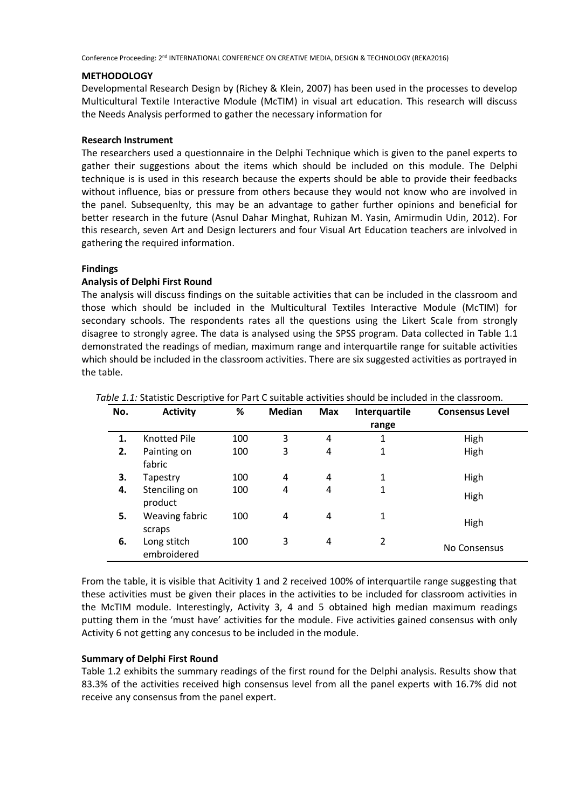Conference Proceeding: 2nd INTERNATIONAL CONFERENCE ON CREATIVE MEDIA, DESIGN & TECHNOLOGY (REKA2016)

## **METHODOLOGY**

Developmental Research Design by (Richey & Klein, 2007) has been used in the processes to develop Multicultural Textile Interactive Module (McTIM) in visual art education. This research will discuss the Needs Analysis performed to gather the necessary information for

## **Research Instrument**

The researchers used a questionnaire in the Delphi Technique which is given to the panel experts to gather their suggestions about the items which should be included on this module. The Delphi technique is is used in this research because the experts should be able to provide their feedbacks without influence, bias or pressure from others because they would not know who are involved in the panel. Subsequenlty, this may be an advantage to gather further opinions and beneficial for better research in the future (Asnul Dahar Minghat, Ruhizan M. Yasin, Amirmudin Udin, 2012). For this research, seven Art and Design lecturers and four Visual Art Education teachers are inlvolved in gathering the required information.

# **Findings**

# **Analysis of Delphi First Round**

The analysis will discuss findings on the suitable activities that can be included in the classroom and those which should be included in the Multicultural Textiles Interactive Module (McTIM) for secondary schools. The respondents rates all the questions using the Likert Scale from strongly disagree to strongly agree. The data is analysed using the SPSS program. Data collected in Table 1.1 demonstrated the readings of median, maximum range and interquartile range for suitable activities which should be included in the classroom activities. There are six suggested activities as portrayed in the table.

| No. | <b>Activity</b>            | %   | <b>Median</b> | <b>Max</b> | <b>Interquartile</b> | <b>Consensus Level</b> |
|-----|----------------------------|-----|---------------|------------|----------------------|------------------------|
|     |                            |     |               |            | range                |                        |
| 1.  | <b>Knotted Pile</b>        | 100 | 3             | 4          | 1                    | High                   |
| 2.  | Painting on                | 100 | 3             | 4          | 1                    | High                   |
|     | fabric                     |     |               |            |                      |                        |
| 3.  | Tapestry                   | 100 | 4             | 4          | $\mathbf{1}$         | High                   |
| 4.  | Stenciling on<br>product   | 100 | 4             | 4          | 1                    | High                   |
| 5.  | Weaving fabric<br>scraps   | 100 | 4             | 4          | 1                    | High                   |
| 6.  | Long stitch<br>embroidered | 100 | 3             | 4          | $\overline{2}$       | No Consensus           |

*Table 1.1:* Statistic Descriptive for Part C suitable activities should be included in the classroom.

From the table, it is visible that Acitivity 1 and 2 received 100% of interquartile range suggesting that these activities must be given their places in the activities to be included for classroom activities in the McTIM module. Interestingly, Activity 3, 4 and 5 obtained high median maximum readings putting them in the 'must have' activities for the module. Five activities gained consensus with only Activity 6 not getting any concesus to be included in the module.

# **Summary of Delphi First Round**

Table 1.2 exhibits the summary readings of the first round for the Delphi analysis. Results show that 83.3% of the activities received high consensus level from all the panel experts with 16.7% did not receive any consensus from the panel expert.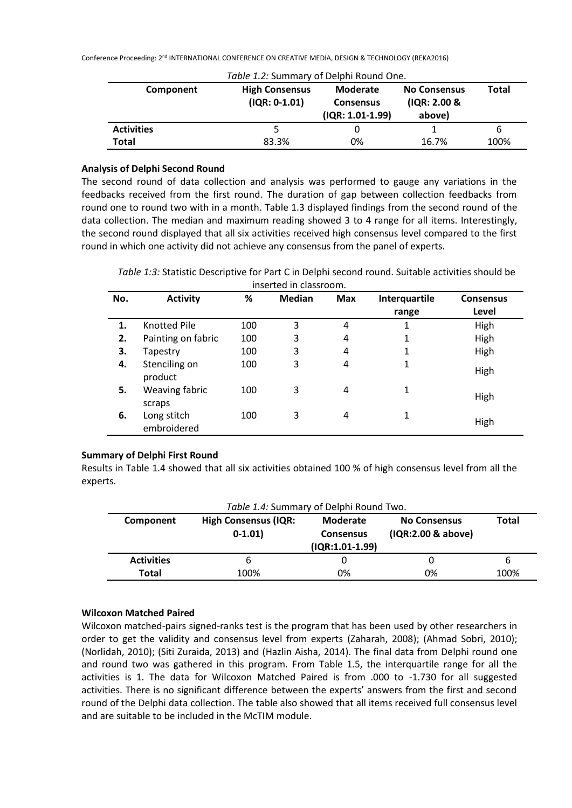Conference Proceeding: 2nd INTERNATIONAL CONFERENCE ON CREATIVE MEDIA, DESIGN & TECHNOLOGY (REKA2016)

| Table 1.2: Summary of Delphi Round One. |                                          |                                                    |                                               |       |  |  |  |
|-----------------------------------------|------------------------------------------|----------------------------------------------------|-----------------------------------------------|-------|--|--|--|
| Component                               | <b>High Consensus</b><br>$(IQR: 0-1.01)$ | Moderate<br><b>Consensus</b><br>$(IQR: 1.01-1.99)$ | <b>No Consensus</b><br>(IQR: 2.00 &<br>above) | Total |  |  |  |
| <b>Activities</b>                       |                                          |                                                    |                                               | 6     |  |  |  |
| Total                                   | 83.3%                                    | 0%                                                 | 16.7%                                         | 100%  |  |  |  |

## **Analysis of Delphi Second Round**

The second round of data collection and analysis was performed to gauge any variations in the feedbacks received from the first round. The duration of gap between collection feedbacks from round one to round two with in a month. Table 1.3 displayed findings from the second round of the data collection. The median and maximum reading showed 3 to 4 range for all items. Interestingly, the second round displayed that all six activities received high consensus level compared to the first round in which one activity did not achieve any consensus from the panel of experts.

*Table 1:3:* Statistic Descriptive for Part C in Delphi second round. Suitable activities should be inserted in classroom.

| No. | <b>Activity</b>            | %   | <b>Median</b> | <b>Max</b> | Interquartile<br>range | <b>Consensus</b><br>Level |
|-----|----------------------------|-----|---------------|------------|------------------------|---------------------------|
| 1.  | <b>Knotted Pile</b>        | 100 | 3             | 4          | 1                      | High                      |
| 2.  | Painting on fabric         | 100 | 3             | 4          | 1                      | High                      |
| 3.  | Tapestry                   | 100 | 3             | 4          | 1                      | High                      |
| 4.  | Stenciling on<br>product   | 100 | 3             | 4          | 1                      | High                      |
| 5.  | Weaving fabric<br>scraps   | 100 | 3             | 4          | 1                      | High                      |
| 6.  | Long stitch<br>embroidered | 100 | 3             | 4          | 1                      | High                      |

## **Summary of Delphi First Round**

Results in Table 1.4 showed that all six activities obtained 100 % of high consensus level from all the experts.

| Table 1.4: Summary of Delphi Round Two. |                                          |                                                          |                                           |       |  |  |  |
|-----------------------------------------|------------------------------------------|----------------------------------------------------------|-------------------------------------------|-------|--|--|--|
| Component                               | <b>High Consensus (IQR:</b><br>$0-1.01)$ | <b>Moderate</b><br><b>Consensus</b><br>$(IQR:1.01-1.99)$ | <b>No Consensus</b><br>(IQR:2.00 & above) | Total |  |  |  |
| <b>Activities</b>                       | b                                        |                                                          |                                           | 6     |  |  |  |
| <b>Total</b>                            | 100%                                     | 0%                                                       | 0%                                        | 100%  |  |  |  |

## **Wilcoxon Matched Paired**

Wilcoxon matched-pairs signed-ranks test is the program that has been used by other researchers in order to get the validity and consensus level from experts (Zaharah, 2008); (Ahmad Sobri, 2010); (Norlidah, 2010); (Siti Zuraida, 2013) and (Hazlin Aisha, 2014). The final data from Delphi round one and round two was gathered in this program. From Table 1.5, the interquartile range for all the activities is 1. The data for Wilcoxon Matched Paired is from .000 to -1.730 for all suggested activities. There is no significant difference between the experts' answers from the first and second round of the Delphi data collection. The table also showed that all items received full consensus level and are suitable to be included in the McTIM module.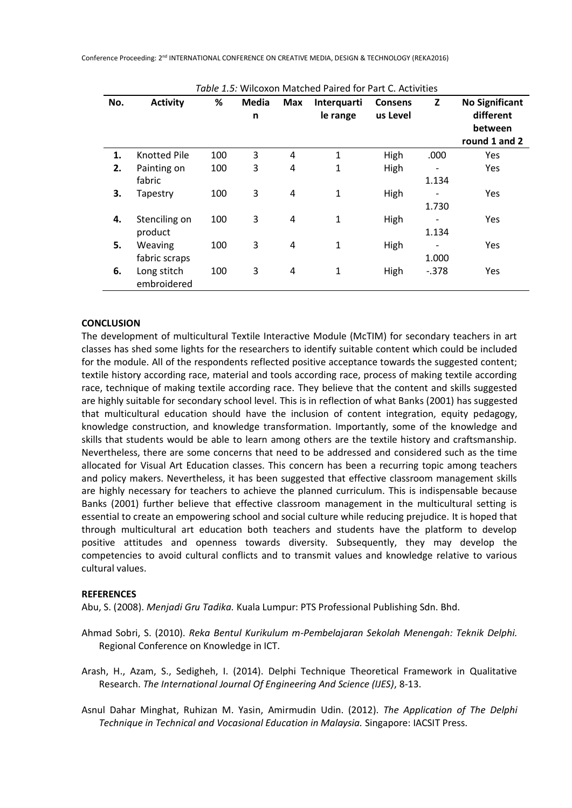| No. | <b>Activity</b>     | %   | <b>Media</b> | Max | Interquarti  | <b>Consens</b> | Z       | <b>No Significant</b> |
|-----|---------------------|-----|--------------|-----|--------------|----------------|---------|-----------------------|
|     |                     |     | n            |     | le range     | us Level       |         | different             |
|     |                     |     |              |     |              |                |         | between               |
|     |                     |     |              |     |              |                |         | round 1 and 2         |
| 1.  | <b>Knotted Pile</b> | 100 | 3            | 4   | 1            | High           | .000    | <b>Yes</b>            |
| 2.  | Painting on         | 100 | 3            | 4   | 1            | High           |         | Yes                   |
|     | fabric              |     |              |     |              |                | 1.134   |                       |
| 3.  | Tapestry            | 100 | 3            | 4   | $\mathbf{1}$ | High           |         | Yes                   |
|     |                     |     |              |     |              |                | 1.730   |                       |
| 4.  | Stenciling on       | 100 | 3            | 4   | 1            | High           |         | Yes                   |
|     | product             |     |              |     |              |                | 1.134   |                       |
| 5.  | Weaving             | 100 | 3            | 4   | $\mathbf{1}$ | High           |         | Yes                   |
|     | fabric scraps       |     |              |     |              |                | 1.000   |                       |
| 6.  | Long stitch         | 100 | 3            | 4   | $\mathbf{1}$ | High           | $-.378$ | Yes                   |
|     | embroidered         |     |              |     |              |                |         |                       |

*Table 1.5:* Wilcoxon Matched Paired for Part C. Activities

## **CONCLUSION**

The development of multicultural Textile Interactive Module (McTIM) for secondary teachers in art classes has shed some lights for the researchers to identify suitable content which could be included for the module. All of the respondents reflected positive acceptance towards the suggested content; textile history according race, material and tools according race, process of making textile according race, technique of making textile according race. They believe that the content and skills suggested are highly suitable for secondary school level. This is in reflection of what Banks (2001) has suggested that multicultural education should have the inclusion of content integration, equity pedagogy, knowledge construction, and knowledge transformation. Importantly, some of the knowledge and skills that students would be able to learn among others are the textile history and craftsmanship. Nevertheless, there are some concerns that need to be addressed and considered such as the time allocated for Visual Art Education classes. This concern has been a recurring topic among teachers and policy makers. Nevertheless, it has been suggested that effective classroom management skills are highly necessary for teachers to achieve the planned curriculum. This is indispensable because Banks (2001) further believe that effective classroom management in the multicultural setting is essential to create an empowering school and social culture while reducing prejudice. It is hoped that through multicultural art education both teachers and students have the platform to develop positive attitudes and openness towards diversity. Subsequently, they may develop the competencies to avoid cultural conflicts and to transmit values and knowledge relative to various cultural values.

## **REFERENCES**

Abu, S. (2008). *Menjadi Gru Tadika.* Kuala Lumpur: PTS Professional Publishing Sdn. Bhd.

Ahmad Sobri, S. (2010). *Reka Bentul Kurikulum m-Pembelajaran Sekolah Menengah: Teknik Delphi.* Regional Conference on Knowledge in ICT.

Arash, H., Azam, S., Sedigheh, I. (2014). Delphi Technique Theoretical Framework in Qualitative Research. *The International Journal Of Engineering And Science (IJES)*, 8-13.

Asnul Dahar Minghat, Ruhizan M. Yasin, Amirmudin Udin. (2012). *The Application of The Delphi Technique in Technical and Vocasional Education in Malaysia.* Singapore: IACSIT Press.